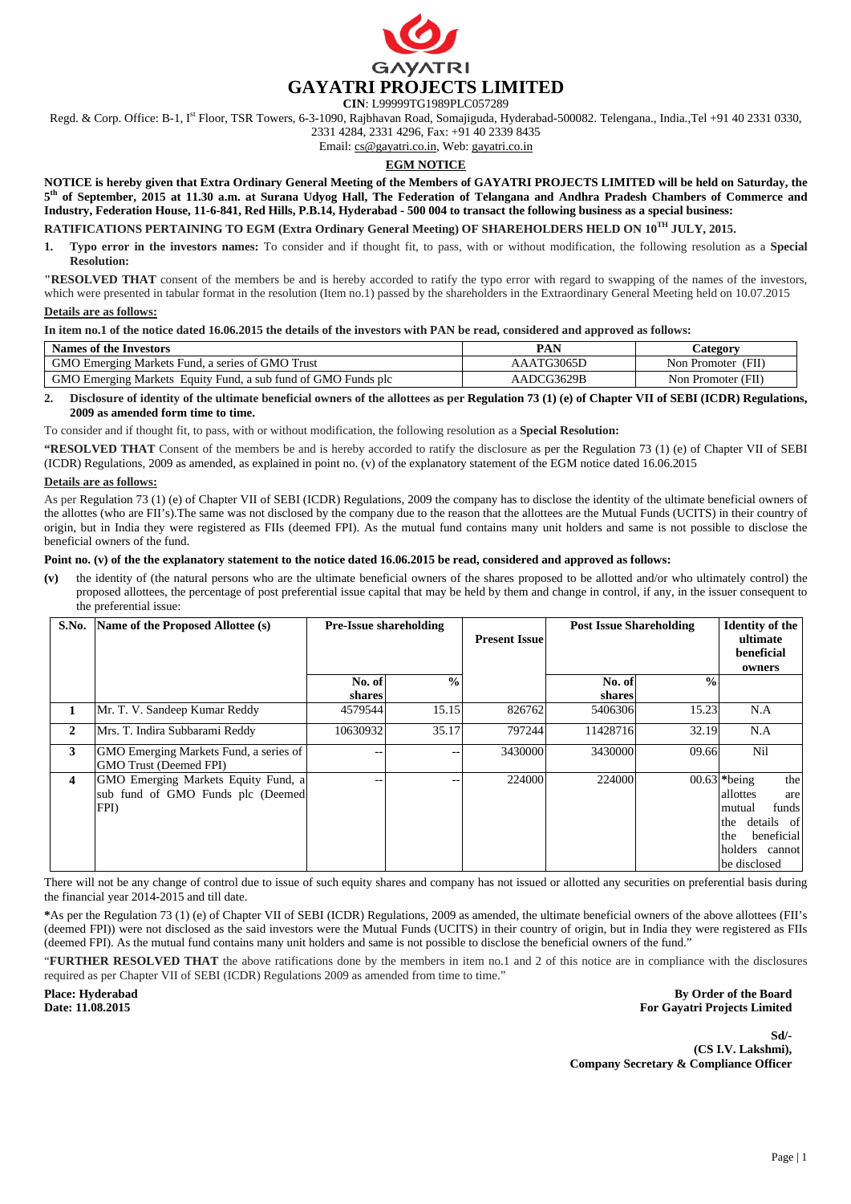

**CIN**: L99999TG1989PLC057289

Regd. & Corp. Office: B-1, I<sup>st</sup> Floor, TSR Towers, 6-3-1090, Rajbhavan Road, Somajiguda, Hyderabad-500082. Telengana., India.,Tel +91 40 2331 0330,

2331 4284, 2331 4296, Fax: +91 40 2339 8435

Email: cs@gayatri.co.in, Web: gayatri.co.in

# **EGM NOTICE**

**NOTICE is hereby given that Extra Ordinary General Meeting of the Members of GAYATRI PROJECTS LIMITED will be held on Saturday, the 5th of September, 2015 at 11.30 a.m. at Surana Udyog Hall, The Federation of Telangana and Andhra Pradesh Chambers of Commerce and Industry, Federation House, 11-6-841, Red Hills, P.B.14, Hyderabad - 500 004 to transact the following business as a special business:** 

# **RATIFICATIONS PERTAINING TO EGM (Extra Ordinary General Meeting) OF SHAREHOLDERS HELD ON 10TH JULY, 2015.**

**1. Typo error in the investors names:** To consider and if thought fit, to pass, with or without modification, the following resolution as a **Special Resolution:** 

**"RESOLVED THAT** consent of the members be and is hereby accorded to ratify the typo error with regard to swapping of the names of the investors, which were presented in tabular format in the resolution (Item no.1) passed by the shareholders in the Extraordinary General Meeting held on 10.07.2015

#### **Details are as follows:**

#### **In item no.1 of the notice dated 16.06.2015 the details of the investors with PAN be read, considered and approved as follows:**

| Names of the Investors                                        | PAN        | <b>Lategory</b>      |  |
|---------------------------------------------------------------|------------|----------------------|--|
| GMO Emerging Markets Fund, a series of GMO Trust              | AAATG3065D | Non Promoter<br>(FII |  |
| GMO Emerging Markets Equity Fund, a sub fund of GMO Funds plc | AADCG3629B | Non Promoter (FII)   |  |

### **2. Disclosure of identity of the ultimate beneficial owners of the allottees as per Regulation 73 (1) (e) of Chapter VII of SEBI (ICDR) Regulations, 2009 as amended form time to time.**

To consider and if thought fit, to pass, with or without modification, the following resolution as a **Special Resolution:** 

**"RESOLVED THAT** Consent of the members be and is hereby accorded to ratify the disclosure as per the Regulation 73 (1) (e) of Chapter VII of SEBI (ICDR) Regulations, 2009 as amended, as explained in point no. (v) of the explanatory statement of the EGM notice dated 16.06.2015

## **Details are as follows:**

As per Regulation 73 (1) (e) of Chapter VII of SEBI (ICDR) Regulations, 2009 the company has to disclose the identity of the ultimate beneficial owners of the allottes (who are FII's).The same was not disclosed by the company due to the reason that the allottees are the Mutual Funds (UCITS) in their country of origin, but in India they were registered as FIIs (deemed FPI). As the mutual fund contains many unit holders and same is not possible to disclose the beneficial owners of the fund.

### **Point no. (v) of the the explanatory statement to the notice dated 16.06.2015 be read, considered and approved as follows:**

**(v)** the identity of (the natural persons who are the ultimate beneficial owners of the shares proposed to be allotted and/or who ultimately control) the proposed allottees, the percentage of post preferential issue capital that may be held by them and change in control, if any, in the issuer consequent to the preferential issue:

| S.No.                   | Name of the Proposed Allottee (s)                                                | <b>Pre-Issue shareholding</b> |                   | <b>Present Issue</b> | <b>Post Issue Shareholding</b> |               | <b>Identity of the</b><br>ultimate<br>beneficial<br>owners                                                                            |
|-------------------------|----------------------------------------------------------------------------------|-------------------------------|-------------------|----------------------|--------------------------------|---------------|---------------------------------------------------------------------------------------------------------------------------------------|
|                         |                                                                                  | No. of<br>shares              | $\frac{0}{0}$     |                      | No. of<br>shares               | $\frac{0}{0}$ |                                                                                                                                       |
| 1                       | Mr. T. V. Sandeep Kumar Reddy                                                    | 4579544                       | 15.15             | 826762               | 5406306                        | 15.23         | N.A                                                                                                                                   |
| 2                       | Mrs. T. Indira Subbarami Reddy                                                   | 10630932                      | 35.17             | 797244               | 11428716                       | 32.19         | N.A                                                                                                                                   |
| 3                       | GMO Emerging Markets Fund, a series of<br><b>GMO Trust (Deemed FPI)</b>          |                               | $\qquad \qquad -$ | 3430000              | 3430000                        | 09.66         | Nil                                                                                                                                   |
| $\overline{\mathbf{4}}$ | GMO Emerging Markets Equity Fund, a<br>sub fund of GMO Funds plc (Deemed<br>FPI) |                               | $- -$             | 224000               | 224000                         |               | 00.63 $*$ being<br>the<br>allottes<br>are<br>funds<br>mutual<br>the details of<br>beneficial<br>the<br>holders cannot<br>be disclosed |

There will not be any change of control due to issue of such equity shares and company has not issued or allotted any securities on preferential basis during the financial year 2014-2015 and till date.

**\***As per the Regulation 73 (1) (e) of Chapter VII of SEBI (ICDR) Regulations, 2009 as amended, the ultimate beneficial owners of the above allottees (FII's (deemed FPI)) were not disclosed as the said investors were the Mutual Funds (UCITS) in their country of origin, but in India they were registered as FIIs (deemed FPI). As the mutual fund contains many unit holders and same is not possible to disclose the beneficial owners of the fund."

"**FURTHER RESOLVED THAT** the above ratifications done by the members in item no.1 and 2 of this notice are in compliance with the disclosures required as per Chapter VII of SEBI (ICDR) Regulations 2009 as amended from time to time."

**Place: Hyderabad Date: 11.08.2015** 

**By Order of the Board For Gayatri Projects Limited** 

**Sd/- (CS I.V. Lakshmi), Company Secretary & Compliance Officer**